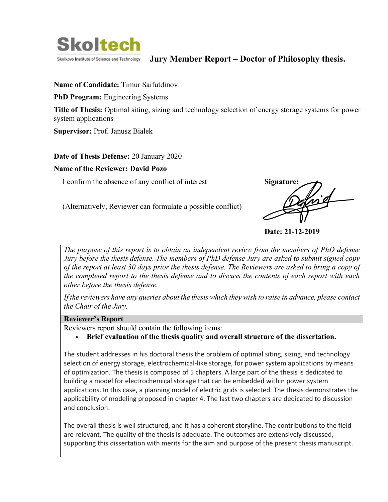

## **Jury Member Report – Doctor of Philosophy thesis.**

#### **Name of Candidate:** Timur Saifutdinov

**PhD Program:** Engineering Systems

**Title of Thesis:** Optimal siting, sizing and technology selection of energy storage systems for power system applications

**Supervisor:** Prof. Janusz Bialek

#### **Date of Thesis Defense:** 20 January 2020

#### **Name of the Reviewer: David Pozo**



*The purpose of this report is to obtain an independent review from the members of PhD defense Jury before the thesis defense. The members of PhD defense Jury are asked to submit signed copy of the report at least 30 days prior the thesis defense. The Reviewers are asked to bring a copy of the completed report to the thesis defense and to discuss the contents of each report with each other before the thesis defense.* 

*If the reviewers have any queries about the thesis which they wish to raise in advance, please contact the Chair of the Jury.*

### **Reviewer's Report**

Reviewers report should contain the following items:

• **Brief evaluation of the thesis quality and overall structure of the dissertation.**

The student addresses in his doctoral thesis the problem of optimal siting, sizing, and technology selection of energy storage, electrochemical-like storage, for power system applications by means of optimization. The thesis is composed of 5 chapters. A large part of the thesis is dedicated to building a model for electrochemical storage that can be embedded within power system applications. In this case, a planning model of electric grids is selected. The thesis demonstrates the applicability of modeling proposed in chapter 4. The last two chapters are dedicated to discussion and conclusion.

The overall thesis is well structured, and it has a coherent storyline. The contributions to the field are relevant. The quality of the thesis is adequate. The outcomes are extensively discussed, supporting this dissertation with merits for the aim and purpose of the present thesis manuscript.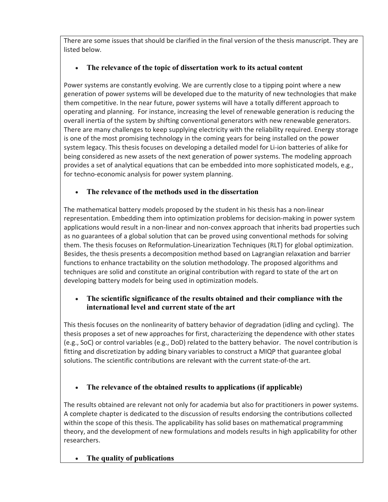There are some issues that should be clarified in the final version of the thesis manuscript. They are listed below.

# • **The relevance of the topic of dissertation work to its actual content**

Power systems are constantly evolving. We are currently close to a tipping point where a new generation of power systems will be developed due to the maturity of new technologies that make them competitive. In the near future, power systems will have a totally different approach to operating and planning. For instance, increasing the level of renewable generation is reducing the overall inertia of the system by shifting conventional generators with new renewable generators. There are many challenges to keep supplying electricity with the reliability required. Energy storage is one of the most promising technology in the coming years for being installed on the power system legacy. This thesis focuses on developing a detailed model for Li-ion batteries of alike for being considered as new assets of the next generation of power systems. The modeling approach provides a set of analytical equations that can be embedded into more sophisticated models, e.g., for techno-economic analysis for power system planning.

# • **The relevance of the methods used in the dissertation**

The mathematical battery models proposed by the student in his thesis has a non-linear representation. Embedding them into optimization problems for decision-making in power system applications would result in a non-linear and non-convex approach that inherits bad properties such as no guarantees of a global solution that can be proved using conventional methods for solving them. The thesis focuses on Reformulation-Linearization Techniques (RLT) for global optimization. Besides, the thesis presents a decomposition method based on Lagrangian relaxation and barrier functions to enhance tractability on the solution methodology. The proposed algorithms and techniques are solid and constitute an original contribution with regard to state of the art on developing battery models for being used in optimization models.

# • **The scientific significance of the results obtained and their compliance with the international level and current state of the art**

This thesis focuses on the nonlinearity of battery behavior of degradation (idling and cycling). The thesis proposes a set of new approaches for first, characterizing the dependence with other states (e.g., SoC) or control variables (e.g., DoD) related to the battery behavior. The novel contribution is fitting and discretization by adding binary variables to construct a MIQP that guarantee global solutions. The scientific contributions are relevant with the current state-of-the art.

# • **The relevance of the obtained results to applications (if applicable)**

The results obtained are relevant not only for academia but also for practitioners in power systems. A complete chapter is dedicated to the discussion of results endorsing the contributions collected within the scope of this thesis. The applicability has solid bases on mathematical programming theory, and the development of new formulations and models results in high applicability for other researchers.

## • **The quality of publications**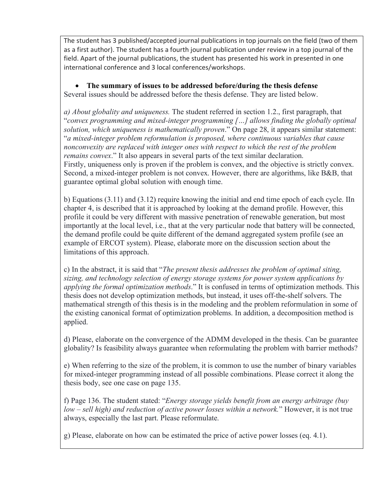The student has 3 published/accepted journal publications in top journals on the field (two of them as a first author). The student has a fourth journal publication under review in a top journal of the field. Apart of the journal publications, the student has presented his work in presented in one international conference and 3 local conferences/workshops.

• **The summary of issues to be addressed before/during the thesis defense** Several issues should be addressed before the thesis defense. They are listed below.

*a) About globality and uniqueness.* The student referred in section 1.2., first paragraph, that "*convex programming and mixed-integer programming […] allows finding the globally optimal solution, which uniqueness is mathematically proven*." On page 28, it appears similar statement: "*a mixed-integer problem reformulation is proposed, where continuous variables that cause nonconvexity are replaced with integer ones with respect to which the rest of the problem remains convex*." It also appears in several parts of the text similar declaration. Firstly, uniqueness only is proven if the problem is convex, and the objective is strictly convex. Second, a mixed-integer problem is not convex. However, there are algorithms, like B&B, that guarantee optimal global solution with enough time.

b) Equations (3.11) and (3.12) require knowing the initial and end time epoch of each cycle. IIn chapter 4, is described that it is approached by looking at the demand profile. However, this profile it could be very different with massive penetration of renewable generation, but most importantly at the local level, i.e., that at the very particular node that battery will be connected, the demand profile could be quite different of the demand aggregated system profile (see an example of ERCOT system). Please, elaborate more on the discussion section about the limitations of this approach.

c) In the abstract, it is said that "*The present thesis addresses the problem of optimal siting, sizing, and technology selection of energy storage systems for power system applications by applying the formal optimization methods*." It is confused in terms of optimization methods. This thesis does not develop optimization methods, but instead, it uses off-the-shelf solvers. The mathematical strength of this thesis is in the modeling and the problem reformulation in some of the existing canonical format of optimization problems. In addition, a decomposition method is applied.

d) Please, elaborate on the convergence of the ADMM developed in the thesis. Can be guarantee globality? Is feasibility always guarantee when reformulating the problem with barrier methods?

e) When referring to the size of the problem, it is common to use the number of binary variables for mixed-integer programming instead of all possible combinations. Please correct it along the thesis body, see one case on page 135.

f) Page 136. The student stated: "*Energy storage yields benefit from an energy arbitrage (buy low – sell high) and reduction of active power losses within a network.*" However, it is not true always, especially the last part. Please reformulate.

g) Please, elaborate on how can be estimated the price of active power losses (eq. 4.1).